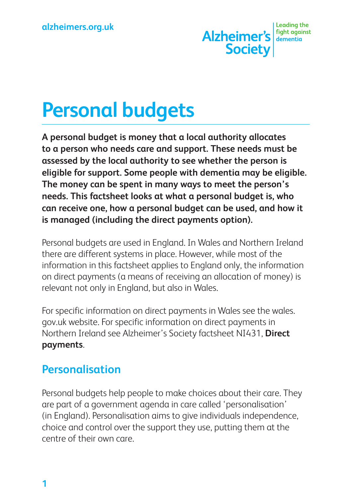Alzheimer's denoting the **Society** 

# **Personal budgets**

**A personal budget is money that a local authority allocates to a person who needs care and support. These needs must be assessed by the local authority to see whether the person is eligible for support. Some people with dementia may be eligible. The money can be spent in many ways to meet the person's needs. This factsheet looks at what a personal budget is, who can receive one, how a personal budget can be used, and how it is managed (including the direct payments option).**

Personal budgets are used in England. In Wales and Northern Ireland there are different systems in place. However, while most of the information in this factsheet applies to England only, the information on direct payments (a means of receiving an allocation of money) is relevant not only in England, but also in Wales.

For specific information on direct payments in Wales see the wales. gov.uk website. For specific information on direct payments in Northern Ireland see Alzheimer's Society factsheet NI431, **Direct payments**.

### **Personalisation**

Personal budgets help people to make choices about their care. They are part of a government agenda in care called 'personalisation' (in England). Personalisation aims to give individuals independence, choice and control over the support they use, putting them at the centre of their own care.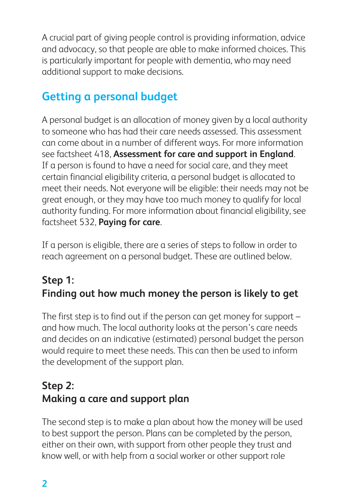A crucial part of giving people control is providing information, advice and advocacy, so that people are able to make informed choices. This is particularly important for people with dementia, who may need additional support to make decisions.

# **Getting a personal budget**

A personal budget is an allocation of money given by a local authority to someone who has had their care needs assessed. This assessment can come about in a number of different ways. For more information see factsheet 418, **Assessment for care and support in England**. If a person is found to have a need for social care, and they meet certain financial eligibility criteria, a personal budget is allocated to meet their needs. Not everyone will be eligible: their needs may not be great enough, or they may have too much money to qualify for local authority funding. For more information about financial eligibility, see factsheet 532, **Paying for care**.

If a person is eligible, there are a series of steps to follow in order to reach agreement on a personal budget. These are outlined below.

# **Step 1: Finding out how much money the person is likely to get**

The first step is to find out if the person can get money for support – and how much. The local authority looks at the person's care needs and decides on an indicative (estimated) personal budget the person would require to meet these needs. This can then be used to inform the development of the support plan.

# **Step 2: Making a care and support plan**

The second step is to make a plan about how the money will be used to best support the person. Plans can be completed by the person, either on their own, with support from other people they trust and know well, or with help from a social worker or other support role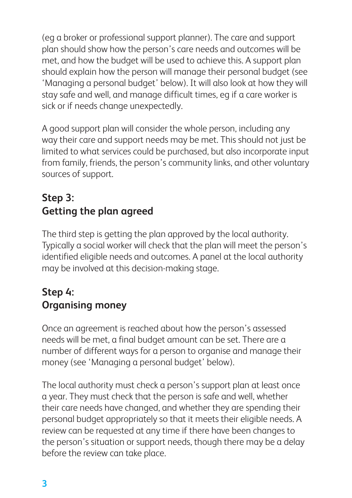(eg a broker or professional support planner). The care and support plan should show how the person's care needs and outcomes will be met, and how the budget will be used to achieve this. A support plan should explain how the person will manage their personal budget (see 'Managing a personal budget' below). It will also look at how they will stay safe and well, and manage difficult times, eg if a care worker is sick or if needs change unexpectedly.

A good support plan will consider the whole person, including any way their care and support needs may be met. This should not just be limited to what services could be purchased, but also incorporate input from family, friends, the person's community links, and other voluntary sources of support.

# **Step 3: Getting the plan agreed**

The third step is getting the plan approved by the local authority. Typically a social worker will check that the plan will meet the person's identified eligible needs and outcomes. A panel at the local authority may be involved at this decision-making stage.

# **Step 4: Organising money**

Once an agreement is reached about how the person's assessed needs will be met, a final budget amount can be set. There are a number of different ways for a person to organise and manage their money (see 'Managing a personal budget' below).

The local authority must check a person's support plan at least once a year. They must check that the person is safe and well, whether their care needs have changed, and whether they are spending their personal budget appropriately so that it meets their eligible needs. A review can be requested at any time if there have been changes to the person's situation or support needs, though there may be a delay before the review can take place.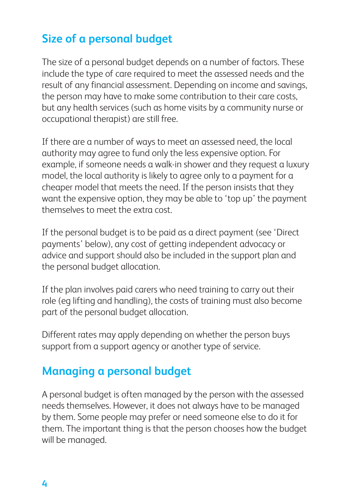# **Size of a personal budget**

The size of a personal budget depends on a number of factors. These include the type of care required to meet the assessed needs and the result of any financial assessment. Depending on income and savings, the person may have to make some contribution to their care costs, but any health services (such as home visits by a community nurse or occupational therapist) are still free.

If there are a number of ways to meet an assessed need, the local authority may agree to fund only the less expensive option. For example, if someone needs a walk-in shower and they request a luxury model, the local authority is likely to agree only to a payment for a cheaper model that meets the need. If the person insists that they want the expensive option, they may be able to 'top up' the payment themselves to meet the extra cost.

If the personal budget is to be paid as a direct payment (see 'Direct payments' below), any cost of getting independent advocacy or advice and support should also be included in the support plan and the personal budget allocation.

If the plan involves paid carers who need training to carry out their role (eg lifting and handling), the costs of training must also become part of the personal budget allocation.

Different rates may apply depending on whether the person buys support from a support agency or another type of service.

### **Managing a personal budget**

A personal budget is often managed by the person with the assessed needs themselves. However, it does not always have to be managed by them. Some people may prefer or need someone else to do it for them. The important thing is that the person chooses how the budget will be managed.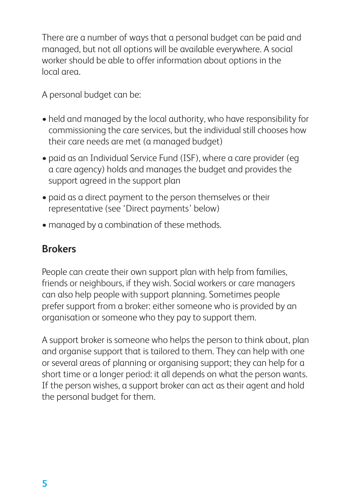There are a number of ways that a personal budget can be paid and managed, but not all options will be available everywhere. A social worker should be able to offer information about options in the local area.

A personal budget can be:

- held and managed by the local authority, who have responsibility for commissioning the care services, but the individual still chooses how their care needs are met (a managed budget)
- paid as an Individual Service Fund (ISF), where a care provider (eq a care agency) holds and manages the budget and provides the support agreed in the support plan
- paid as a direct payment to the person themselves or their representative (see 'Direct payments' below)
- managed by a combination of these methods.

#### **Brokers**

People can create their own support plan with help from families, friends or neighbours, if they wish. Social workers or care managers can also help people with support planning. Sometimes people prefer support from a broker: either someone who is provided by an organisation or someone who they pay to support them.

A support broker is someone who helps the person to think about, plan and organise support that is tailored to them. They can help with one or several areas of planning or organising support; they can help for a short time or a longer period: it all depends on what the person wants. If the person wishes, a support broker can act as their agent and hold the personal budget for them.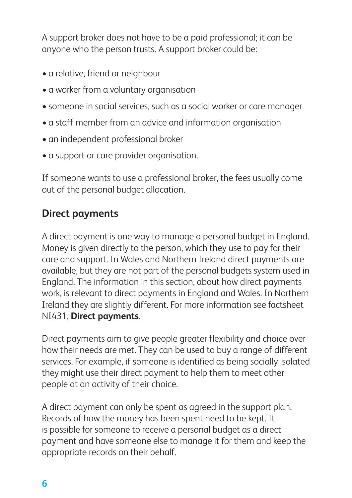A support broker does not have to be a paid professional; it can be anyone who the person trusts. A support broker could be:

- a relative, friend or neighbour
- a worker from a voluntary organisation
- someone in social services, such as a social worker or care manager
- a staff member from an advice and information organisation
- an independent professional broker
- a support or care provider organisation.

If someone wants to use a professional broker, the fees usually come out of the personal budget allocation.

#### **Direct payments**

A direct payment is one way to manage a personal budget in England. Money is given directly to the person, which they use to pay for their care and support. In Wales and Northern Ireland direct payments are available, but they are not part of the personal budgets system used in England. The information in this section, about how direct payments work, is relevant to direct payments in England and Wales. In Northern Ireland they are slightly different. For more information see factsheet NI431, **Direct payments**.

Direct payments aim to give people greater flexibility and choice over how their needs are met. They can be used to buy a range of different services. For example, if someone is identified as being socially isolated they might use their direct payment to help them to meet other people at an activity of their choice.

A direct payment can only be spent as agreed in the support plan. Records of how the money has been spent need to be kept. It is possible for someone to receive a personal budget as a direct payment and have someone else to manage it for them and keep the appropriate records on their behalf.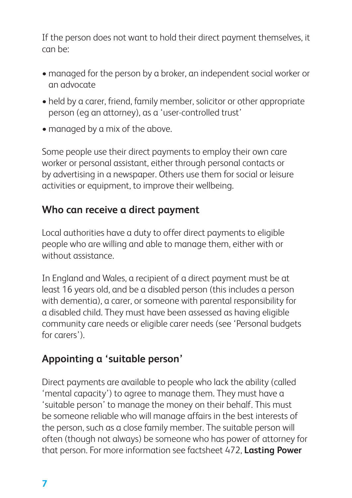If the person does not want to hold their direct payment themselves, it can be:

- managed for the person by a broker, an independent social worker or an advocate
- held by a carer, friend, family member, solicitor or other appropriate person (eg an attorney), as a 'user-controlled trust'
- managed by a mix of the above.

Some people use their direct payments to employ their own care worker or personal assistant, either through personal contacts or by advertising in a newspaper. Others use them for social or leisure activities or equipment, to improve their wellbeing.

#### **Who can receive a direct payment**

Local authorities have a duty to offer direct payments to eligible people who are willing and able to manage them, either with or without assistance.

In England and Wales, a recipient of a direct payment must be at least 16 years old, and be a disabled person (this includes a person with dementia), a carer, or someone with parental responsibility for a disabled child. They must have been assessed as having eligible community care needs or eligible carer needs (see 'Personal budgets for carers').

# **Appointing a 'suitable person'**

Direct payments are available to people who lack the ability (called 'mental capacity') to agree to manage them. They must have a 'suitable person' to manage the money on their behalf. This must be someone reliable who will manage affairs in the best interests of the person, such as a close family member. The suitable person will often (though not always) be someone who has power of attorney for that person. For more information see factsheet 472, **Lasting Power**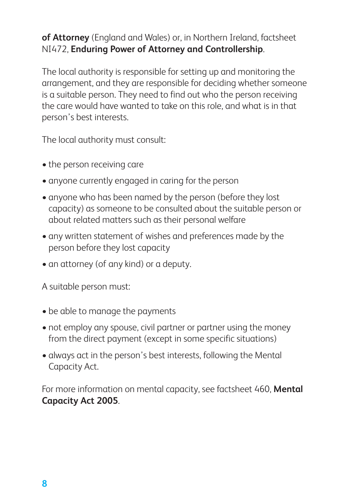#### **of Attorney** (England and Wales) or, in Northern Ireland, factsheet NI472, **Enduring Power of Attorney and Controllership**.

The local authority is responsible for setting up and monitoring the arrangement, and they are responsible for deciding whether someone is a suitable person. They need to find out who the person receiving the care would have wanted to take on this role, and what is in that person's best interests.

The local authority must consult:

- the person receiving care
- anyone currently engaged in caring for the person
- anyone who has been named by the person (before they lost capacity) as someone to be consulted about the suitable person or about related matters such as their personal welfare
- any written statement of wishes and preferences made by the person before they lost capacity
- an attorney (of any kind) or a deputy.

A suitable person must:

- be able to manage the payments
- not employ any spouse, civil partner or partner using the money from the direct payment (except in some specific situations)
- • always act in the person's best interests, following the Mental Capacity Act.

For more information on mental capacity, see factsheet 460, **Mental Capacity Act 2005**.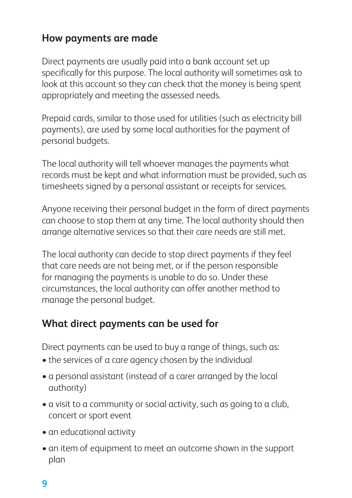#### **How payments are made**

Direct payments are usually paid into a bank account set up specifically for this purpose. The local authority will sometimes ask to look at this account so they can check that the money is being spent appropriately and meeting the assessed needs.

Prepaid cards, similar to those used for utilities (such as electricity bill payments), are used by some local authorities for the payment of personal budgets.

The local authority will tell whoever manages the payments what records must be kept and what information must be provided, such as timesheets signed by a personal assistant or receipts for services.

Anyone receiving their personal budget in the form of direct payments can choose to stop them at any time. The local authority should then arrange alternative services so that their care needs are still met.

The local authority can decide to stop direct payments if they feel that care needs are not being met, or if the person responsible for managing the payments is unable to do so. Under these circumstances, the local authority can offer another method to manage the personal budget.

#### **What direct payments can be used for**

Direct payments can be used to buy a range of things, such as:

- the services of a care agency chosen by the individual
- a personal assistant (instead of a carer arranged by the local authority)
- a visit to a community or social activity, such as going to a club, concert or sport event
- an educational activity
- an item of equipment to meet an outcome shown in the support plan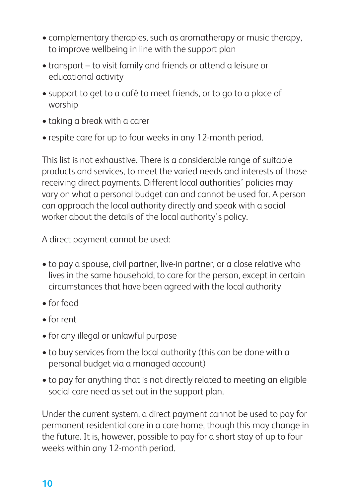- complementary therapies, such as aromatherapy or music therapy, to improve wellbeing in line with the support plan
- transport to visit family and friends or attend a leisure or educational activity
- support to get to a café to meet friends, or to go to a place of worship
- taking a break with a carer
- respite care for up to four weeks in any 12-month period.

This list is not exhaustive. There is a considerable range of suitable products and services, to meet the varied needs and interests of those receiving direct payments. Different local authorities' policies may vary on what a personal budget can and cannot be used for. A person can approach the local authority directly and speak with a social worker about the details of the local authority's policy.

A direct payment cannot be used:

- to pay a spouse, civil partner, live-in partner, or a close relative who lives in the same household, to care for the person, except in certain circumstances that have been agreed with the local authority
- • for food
- • for rent
- for any illegal or unlawful purpose
- to buy services from the local authority (this can be done with a personal budget via a managed account)
- to pay for anything that is not directly related to meeting an eligible social care need as set out in the support plan.

Under the current system, a direct payment cannot be used to pay for permanent residential care in a care home, though this may change in the future. It is, however, possible to pay for a short stay of up to four weeks within any 12-month period.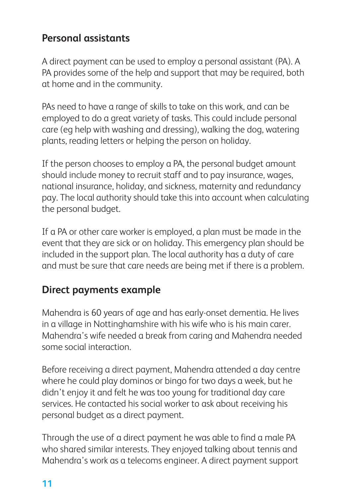#### **Personal assistants**

A direct payment can be used to employ a personal assistant (PA). A PA provides some of the help and support that may be required, both at home and in the community.

PAs need to have a range of skills to take on this work, and can be employed to do a great variety of tasks. This could include personal care (eg help with washing and dressing), walking the dog, watering plants, reading letters or helping the person on holiday.

If the person chooses to employ a PA, the personal budget amount should include money to recruit staff and to pay insurance, wages, national insurance, holiday, and sickness, maternity and redundancy pay. The local authority should take this into account when calculating the personal budget.

If a PA or other care worker is employed, a plan must be made in the event that they are sick or on holiday. This emergency plan should be included in the support plan. The local authority has a duty of care and must be sure that care needs are being met if there is a problem.

#### **Direct payments example**

Mahendra is 60 years of age and has early-onset dementia. He lives in a village in Nottinghamshire with his wife who is his main carer. Mahendra's wife needed a break from caring and Mahendra needed some social interaction.

Before receiving a direct payment, Mahendra attended a day centre where he could play dominos or bingo for two days a week, but he didn't enjoy it and felt he was too young for traditional day care services. He contacted his social worker to ask about receiving his personal budget as a direct payment.

Through the use of a direct payment he was able to find a male PA who shared similar interests. They enjoyed talking about tennis and Mahendra's work as a telecoms engineer. A direct payment support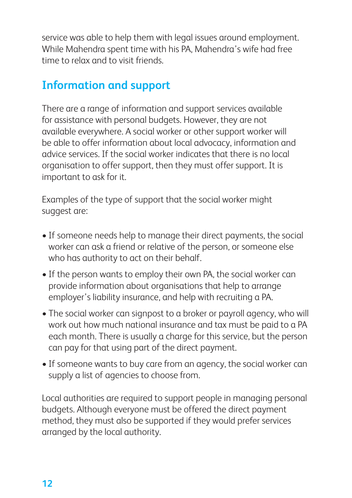service was able to help them with legal issues around employment. While Mahendra spent time with his PA, Mahendra's wife had free time to relax and to visit friends.

# **Information and support**

There are a range of information and support services available for assistance with personal budgets. However, they are not available everywhere. A social worker or other support worker will be able to offer information about local advocacy, information and advice services. If the social worker indicates that there is no local organisation to offer support, then they must offer support. It is important to ask for it.

Examples of the type of support that the social worker might suggest are:

- If someone needs help to manage their direct payments, the social worker can ask a friend or relative of the person, or someone else who has authority to act on their behalf.
- If the person wants to employ their own PA, the social worker can provide information about organisations that help to arrange employer's liability insurance, and help with recruiting a PA.
- The social worker can signpost to a broker or payroll agency, who will work out how much national insurance and tax must be paid to a PA each month. There is usually a charge for this service, but the person can pay for that using part of the direct payment.
- If someone wants to buy care from an agency, the social worker can supply a list of agencies to choose from.

Local authorities are required to support people in managing personal budgets. Although everyone must be offered the direct payment method, they must also be supported if they would prefer services arranged by the local authority.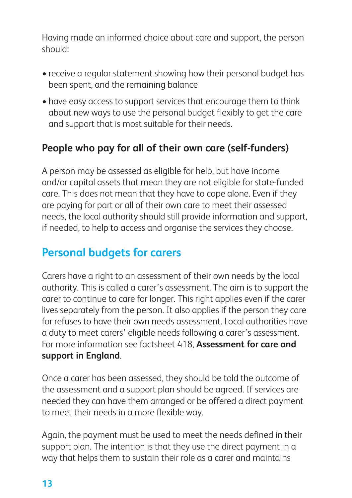Having made an informed choice about care and support, the person should:

- receive a regular statement showing how their personal budget has been spent, and the remaining balance
- have easy access to support services that encourage them to think about new ways to use the personal budget flexibly to get the care and support that is most suitable for their needs.

### **People who pay for all of their own care (self-funders)**

A person may be assessed as eligible for help, but have income and/or capital assets that mean they are not eligible for state-funded care. This does not mean that they have to cope alone. Even if they are paying for part or all of their own care to meet their assessed needs, the local authority should still provide information and support, if needed, to help to access and organise the services they choose.

# **Personal budgets for carers**

Carers have a right to an assessment of their own needs by the local authority. This is called a carer's assessment. The aim is to support the carer to continue to care for longer. This right applies even if the carer lives separately from the person. It also applies if the person they care for refuses to have their own needs assessment. Local authorities have a duty to meet carers' eligible needs following a carer's assessment. For more information see factsheet 418, **Assessment for care and support in England**.

Once a carer has been assessed, they should be told the outcome of the assessment and a support plan should be agreed. If services are needed they can have them arranged or be offered a direct payment to meet their needs in a more flexible way.

Again, the payment must be used to meet the needs defined in their support plan. The intention is that they use the direct payment in a way that helps them to sustain their role as a carer and maintains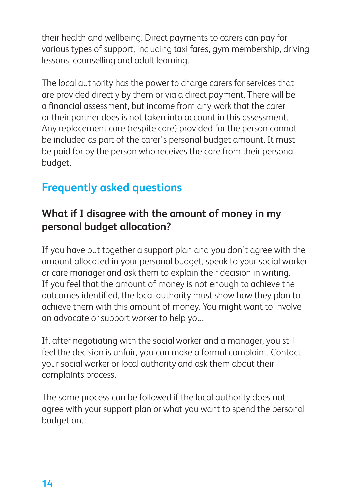their health and wellbeing. Direct payments to carers can pay for various types of support, including taxi fares, gym membership, driving lessons, counselling and adult learning.

The local authority has the power to charge carers for services that are provided directly by them or via a direct payment. There will be a financial assessment, but income from any work that the carer or their partner does is not taken into account in this assessment. Any replacement care (respite care) provided for the person cannot be included as part of the carer's personal budget amount. It must be paid for by the person who receives the care from their personal budget.

# **Frequently asked questions**

#### **What if I disagree with the amount of money in my personal budget allocation?**

If you have put together a support plan and you don't agree with the amount allocated in your personal budget, speak to your social worker or care manager and ask them to explain their decision in writing. If you feel that the amount of money is not enough to achieve the outcomes identified, the local authority must show how they plan to achieve them with this amount of money. You might want to involve an advocate or support worker to help you.

If, after negotiating with the social worker and a manager, you still feel the decision is unfair, you can make a formal complaint. Contact your social worker or local authority and ask them about their complaints process.

The same process can be followed if the local authority does not agree with your support plan or what you want to spend the personal budget on.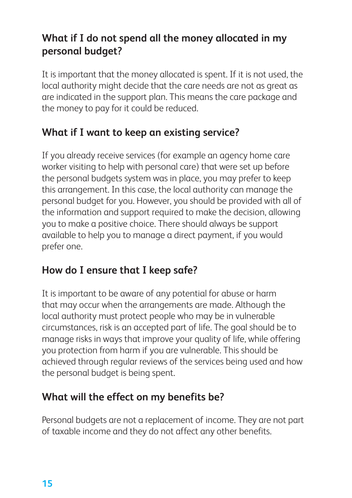#### **What if I do not spend all the money allocated in my personal budget?**

It is important that the money allocated is spent. If it is not used, the local authority might decide that the care needs are not as great as are indicated in the support plan. This means the care package and the money to pay for it could be reduced.

#### **What if I want to keep an existing service?**

If you already receive services (for example an agency home care worker visiting to help with personal care) that were set up before the personal budgets system was in place, you may prefer to keep this arrangement. In this case, the local authority can manage the personal budget for you. However, you should be provided with all of the information and support required to make the decision, allowing you to make a positive choice. There should always be support available to help you to manage a direct payment, if you would prefer one.

#### **How do I ensure that I keep safe?**

It is important to be aware of any potential for abuse or harm that may occur when the arrangements are made. Although the local authority must protect people who may be in vulnerable circumstances, risk is an accepted part of life. The goal should be to manage risks in ways that improve your quality of life, while offering you protection from harm if you are vulnerable. This should be achieved through regular reviews of the services being used and how the personal budget is being spent.

### **What will the effect on my benefits be?**

Personal budgets are not a replacement of income. They are not part of taxable income and they do not affect any other benefits.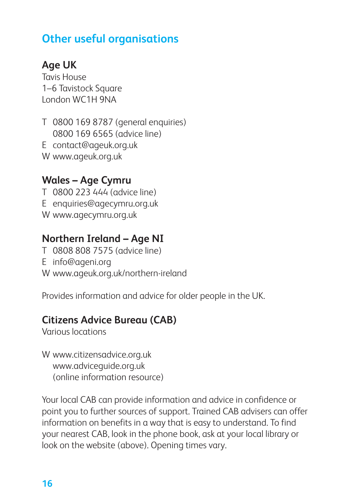# **Other useful organisations**

# **Age UK**

Tavis House 1–6 Tavistock Square London WC1H 9NA

T 0800 169 8787 (general enquiries) 0800 169 6565 (advice line) E contact@ageuk.org.uk W www.ageuk.org.uk

#### **Wales – Age Cymru**

- T 0800 223 444 (advice line)
- E enquiries@agecymru.org.uk
- W www.agecymru.org.uk

### **Northern Ireland – Age NI**

- T 0808 808 7575 (advice line)
- E info@ageni.org
- W www.ageuk.org.uk/northern-ireland

Provides information and advice for older people in the UK.

### **Citizens Advice Bureau (CAB)**

Various locations

W www.citizensadvice.org.uk www.adviceguide.org.uk (online information resource)

Your local CAB can provide information and advice in confidence or point you to further sources of support. Trained CAB advisers can offer information on benefits in a way that is easy to understand. To find your nearest CAB, look in the phone book, ask at your local library or look on the website (above). Opening times vary.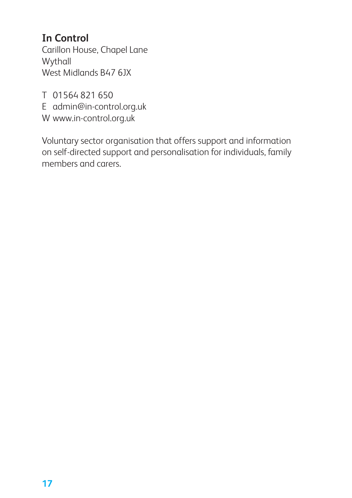# **In Control**

Carillon House, Chapel Lane **Wythall** West Midlands B47 6JX

T 01564 821 650

E admin@in-control.org.uk

W www.in-control.org.uk

Voluntary sector organisation that offers support and information on self-directed support and personalisation for individuals, family members and carers.